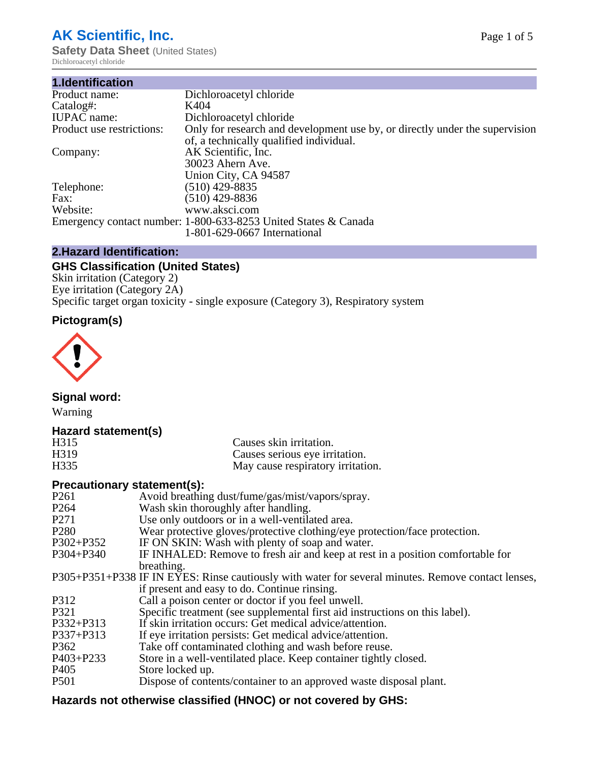# **AK Scientific, Inc.**

**Safety Data Sheet (United States)** Dichloroacetyl chloride

| 1.Identification          |                                                                                                                        |
|---------------------------|------------------------------------------------------------------------------------------------------------------------|
| Product name:             | Dichloroacetyl chloride                                                                                                |
| Catalog#:                 | K404                                                                                                                   |
| <b>IUPAC</b> name:        | Dichloroacetyl chloride                                                                                                |
| Product use restrictions: | Only for research and development use by, or directly under the supervision<br>of, a technically qualified individual. |
| Company:                  | AK Scientific, Inc.                                                                                                    |
|                           | 30023 Ahern Ave.<br>Union City, CA 94587                                                                               |
| Telephone:                | $(510)$ 429-8835                                                                                                       |
| Fax:                      | $(510)$ 429-8836                                                                                                       |
| Website:                  | www.aksci.com                                                                                                          |
|                           | Emergency contact number: 1-800-633-8253 United States & Canada                                                        |
|                           | 1-801-629-0667 International                                                                                           |

# **2.Hazard Identification:**

# **GHS Classification (United States)**

Skin irritation (Category 2) Eye irritation (Category 2A) Specific target organ toxicity - single exposure (Category 3), Respiratory system

# **Pictogram(s)**



**Signal word:**

Warning

# **Hazard statement(s)**

| H315 | Causes skin irritation.           |
|------|-----------------------------------|
| H319 | Causes serious eye irritation.    |
| H335 | May cause respiratory irritation. |

# **Precautionary statement(s):**

| P <sub>261</sub> | Avoid breathing dust/fume/gas/mist/vapors/spray.                                                   |
|------------------|----------------------------------------------------------------------------------------------------|
| P <sub>264</sub> | Wash skin thoroughly after handling.                                                               |
| P <sub>271</sub> | Use only outdoors or in a well-ventilated area.                                                    |
| P <sub>280</sub> | Wear protective gloves/protective clothing/eye protection/face protection.                         |
| P302+P352        | IF ON SKIN: Wash with plenty of soap and water.                                                    |
| $P304 + P340$    | IF INHALED: Remove to fresh air and keep at rest in a position comfortable for                     |
|                  | breathing.                                                                                         |
|                  | P305+P351+P338 IF IN EYES: Rinse cautiously with water for several minutes. Remove contact lenses, |
|                  | if present and easy to do. Continue rinsing.                                                       |
| P312             | Call a poison center or doctor if you feel unwell.                                                 |
| P321             | Specific treatment (see supplemental first aid instructions on this label).                        |
| P332+P313        | If skin irritation occurs: Get medical advice/attention.                                           |
| P337+P313        | If eye irritation persists: Get medical advice/attention.                                          |
| P362             | Take off contaminated clothing and wash before reuse.                                              |
| $P403 + P233$    | Store in a well-ventilated place. Keep container tightly closed.                                   |
| P <sub>405</sub> | Store locked up.                                                                                   |
| P <sub>501</sub> | Dispose of contents/container to an approved waste disposal plant.                                 |
|                  |                                                                                                    |

# **Hazards not otherwise classified (HNOC) or not covered by GHS:**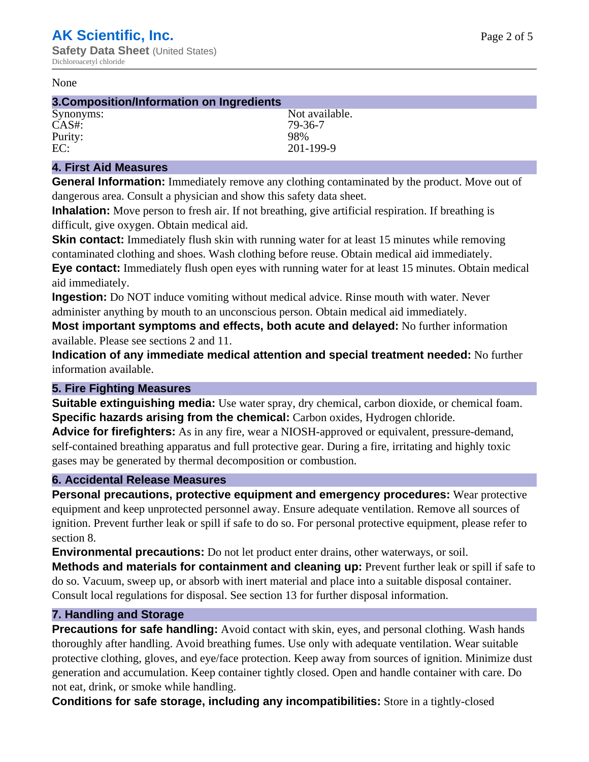#### None

#### **3.Composition/Information on Ingredients** Synonyms: Not available. CAS#: 79-36-7<br>Purity: 798% Purity:

EC: 201-199-9

## **4. First Aid Measures**

**General Information:** Immediately remove any clothing contaminated by the product. Move out of dangerous area. Consult a physician and show this safety data sheet.

**Inhalation:** Move person to fresh air. If not breathing, give artificial respiration. If breathing is difficult, give oxygen. Obtain medical aid.

**Skin contact:** Immediately flush skin with running water for at least 15 minutes while removing contaminated clothing and shoes. Wash clothing before reuse. Obtain medical aid immediately. **Eye contact:** Immediately flush open eyes with running water for at least 15 minutes. Obtain medical aid immediately.

**Ingestion:** Do NOT induce vomiting without medical advice. Rinse mouth with water. Never administer anything by mouth to an unconscious person. Obtain medical aid immediately.

**Most important symptoms and effects, both acute and delayed:** No further information available. Please see sections 2 and 11.

**Indication of any immediate medical attention and special treatment needed:** No further information available.

# **5. Fire Fighting Measures**

**Suitable extinguishing media:** Use water spray, dry chemical, carbon dioxide, or chemical foam. **Specific hazards arising from the chemical:** Carbon oxides, Hydrogen chloride.

**Advice for firefighters:** As in any fire, wear a NIOSH-approved or equivalent, pressure-demand, self-contained breathing apparatus and full protective gear. During a fire, irritating and highly toxic gases may be generated by thermal decomposition or combustion.

# **6. Accidental Release Measures**

**Personal precautions, protective equipment and emergency procedures:** Wear protective equipment and keep unprotected personnel away. Ensure adequate ventilation. Remove all sources of ignition. Prevent further leak or spill if safe to do so. For personal protective equipment, please refer to section 8.

**Environmental precautions:** Do not let product enter drains, other waterways, or soil.

**Methods and materials for containment and cleaning up:** Prevent further leak or spill if safe to do so. Vacuum, sweep up, or absorb with inert material and place into a suitable disposal container. Consult local regulations for disposal. See section 13 for further disposal information.

# **7. Handling and Storage**

**Precautions for safe handling:** Avoid contact with skin, eyes, and personal clothing. Wash hands thoroughly after handling. Avoid breathing fumes. Use only with adequate ventilation. Wear suitable protective clothing, gloves, and eye/face protection. Keep away from sources of ignition. Minimize dust generation and accumulation. Keep container tightly closed. Open and handle container with care. Do not eat, drink, or smoke while handling.

**Conditions for safe storage, including any incompatibilities:** Store in a tightly-closed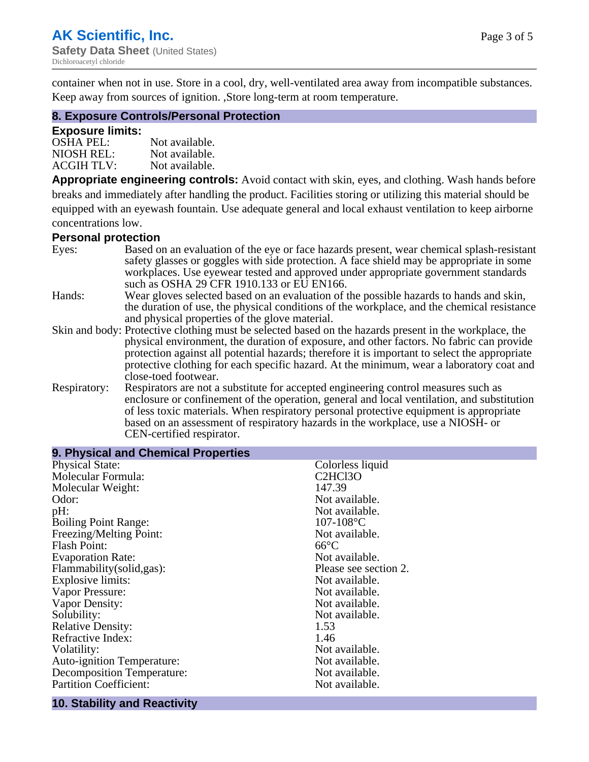container when not in use. Store in a cool, dry, well-ventilated area away from incompatible substances. Keep away from sources of ignition. ,Store long-term at room temperature.

# **8. Exposure Controls/Personal Protection**

#### **Exposure limits:**

| <b>OSHA PEL:</b>  | Not available. |
|-------------------|----------------|
| NIOSH REL:        | Not available. |
| <b>ACGIH TLV:</b> | Not available. |

**Appropriate engineering controls:** Avoid contact with skin, eyes, and clothing. Wash hands before breaks and immediately after handling the product. Facilities storing or utilizing this material should be equipped with an eyewash fountain. Use adequate general and local exhaust ventilation to keep airborne concentrations low.

#### **Personal protection**

| Eyes:        | Based on an evaluation of the eye or face hazards present, wear chemical splash-resistant<br>safety glasses or goggles with side protection. A face shield may be appropriate in some |  |  |
|--------------|---------------------------------------------------------------------------------------------------------------------------------------------------------------------------------------|--|--|
|              | workplaces. Use eyewear tested and approved under appropriate government standards<br>such as OSHA 29 CFR 1910.133 or EU EN166.                                                       |  |  |
| Hands:       | Wear gloves selected based on an evaluation of the possible hazards to hands and skin,                                                                                                |  |  |
|              | the duration of use, the physical conditions of the workplace, and the chemical resistance                                                                                            |  |  |
|              | and physical properties of the glove material.                                                                                                                                        |  |  |
|              | Skin and body: Protective clothing must be selected based on the hazards present in the workplace, the                                                                                |  |  |
|              | physical environment, the duration of exposure, and other factors. No fabric can provide                                                                                              |  |  |
|              | protection against all potential hazards; therefore it is important to select the appropriate                                                                                         |  |  |
|              | protective clothing for each specific hazard. At the minimum, wear a laboratory coat and                                                                                              |  |  |
|              | close-toed footwear.                                                                                                                                                                  |  |  |
| Respiratory: | Respirators are not a substitute for accepted engineering control measures such as<br>enclosure or confinement of the operation, general and local ventilation, and substitution      |  |  |
|              | of less toxic materials. When respiratory personal protective equipment is appropriate                                                                                                |  |  |
|              | based on an assessment of respiratory hazards in the workplace, use a NIOSH- or                                                                                                       |  |  |
|              | CEN-certified respirator.                                                                                                                                                             |  |  |

| 9. Physical and Chemical Properties |                       |
|-------------------------------------|-----------------------|
| <b>Physical State:</b>              | Colorless liquid      |
| Molecular Formula:                  | C2HCl3O               |
| Molecular Weight:                   | 147.39                |
| Odor:                               | Not available.        |
| pH:                                 | Not available.        |
| <b>Boiling Point Range:</b>         | $107 - 108$ °C        |
| Freezing/Melting Point:             | Not available.        |
| <b>Flash Point:</b>                 | $66^{\circ}C$         |
| <b>Evaporation Rate:</b>            | Not available.        |
| Flammability(solid,gas):            | Please see section 2. |
| <b>Explosive limits:</b>            | Not available.        |
| Vapor Pressure:                     | Not available.        |
| Vapor Density:                      | Not available.        |
| Solubility:                         | Not available.        |
| <b>Relative Density:</b>            | 1.53                  |
| Refractive Index:                   | 1.46                  |
| Volatility:                         | Not available.        |
| <b>Auto-ignition Temperature:</b>   | Not available.        |
| Decomposition Temperature:          | Not available.        |
| <b>Partition Coefficient:</b>       | Not available.        |
|                                     |                       |

#### **10. Stability and Reactivity**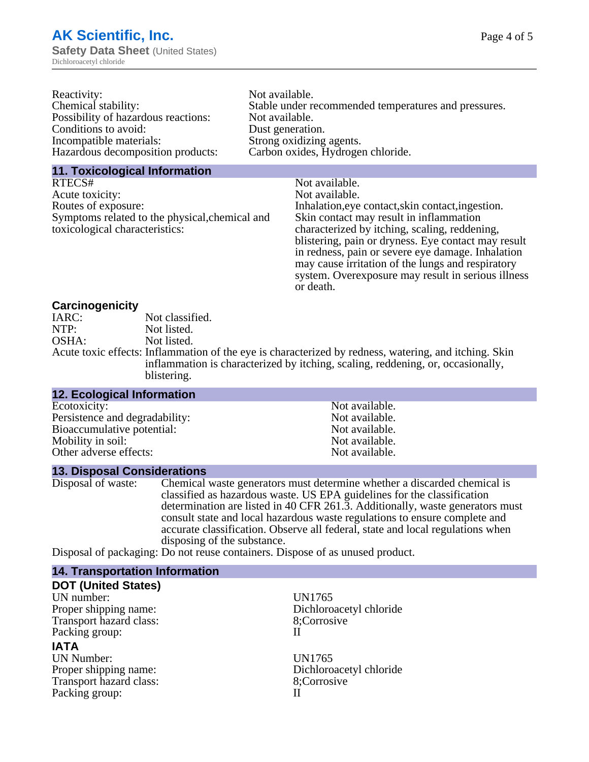| Not available.                                       |
|------------------------------------------------------|
| Stable under recommended temperatures and pressures. |
| Not available.                                       |
| Dust generation.                                     |
| Strong oxidizing agents.                             |
| Carbon oxides, Hydrogen chloride.                    |
|                                                      |

#### **11. Toxicological Information**

| RTECS#                                         | Not available.                                      |
|------------------------------------------------|-----------------------------------------------------|
| Acute toxicity:                                | Not available.                                      |
| Routes of exposure:                            | Inhalation, eye contact, skin contact, ingestion.   |
| Symptoms related to the physical, chemical and | Skin contact may result in inflammation             |
| toxicological characteristics:                 | characterized by itching, scaling, reddening,       |
|                                                | blistering, pain or dryness. Eye contact may result |
|                                                | in redness, pain or severe eye damage. Inhalation   |
|                                                | may cause irritation of the lungs and respiratory   |
|                                                | system. Overexposure may result in serious illness  |

or death.

## **Carcinogenicity**

| IARC: | Not classified.                                                                                       |
|-------|-------------------------------------------------------------------------------------------------------|
| NTP:  | Not listed.                                                                                           |
| OSHA: | Not listed.                                                                                           |
|       | Acute toxic effects: Inflammation of the eye is characterized by redness, watering, and itching. Skin |
|       | inflammation is characterized by itching, scaling, reddening, or, occasionally,                       |
|       | blistering.                                                                                           |

| 12. Ecological Information     |                |
|--------------------------------|----------------|
| Ecotoxicity:                   | Not available. |
| Persistence and degradability: | Not available. |
| Bioaccumulative potential:     | Not available. |
| Mobility in soil:              | Not available. |
| Other adverse effects:         | Not available. |

#### **13. Disposal Considerations**

Disposal of waste: Chemical waste generators must determine whether a discarded chemical is classified as hazardous waste. US EPA guidelines for the classification determination are listed in 40 CFR 261.3. Additionally, waste generators must consult state and local hazardous waste regulations to ensure complete and accurate classification. Observe all federal, state and local regulations when disposing of the substance.

Disposal of packaging: Do not reuse containers. Dispose of as unused product.

| <b>14. Transportation Information</b> |                         |
|---------------------------------------|-------------------------|
| <b>DOT (United States)</b>            |                         |
| UN number:                            | UN1765                  |
| Proper shipping name:                 | Dichloroacetyl chloride |
| Transport hazard class:               | 8;Corrosive             |
| Packing group:                        | Н                       |
| <b>IATA</b>                           |                         |
| <b>UN Number:</b>                     | UN1765                  |
| Proper shipping name:                 | Dichloroacetyl chloride |
| Transport hazard class:               | 8;Corrosive             |
| Packing group:                        | Н                       |